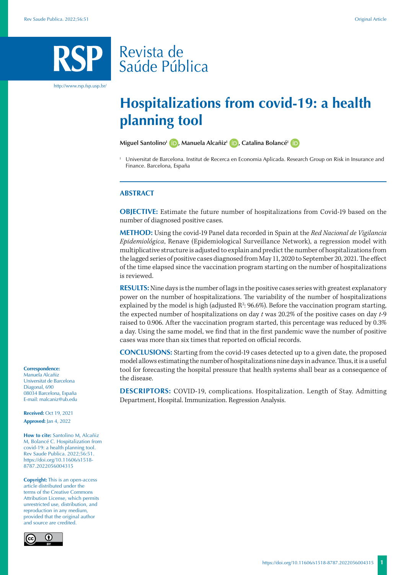# Revista de Saúde Pública

http://www.rsp.fsp.usp.br/

# **Hospitalizations from covid-19: a health planning tool**

**Miguel Santolino<sup>I</sup> <b>D**[,](https://orcid.org/0000-0002-0286-3673) Manuela Alcañiz<sup>I</sup> **D**[,](https://orcid.org/0000-0002-5028-1926) Catalina Bolancé<sup>I</sup> **D** 

<sup>I</sup> Universitat de Barcelona. Institut de Recerca en Economia Aplicada. Research Group on Risk in Insurance and Finance. Barcelona, España

# **ABSTRACT**

**OBJECTIVE:** Estimate the future number of hospitalizations from Covid-19 based on the number of diagnosed positive cases.

**METHOD:** Using the covid-19 Panel data recorded in Spain at the *Red Nacional de Vigilancia Epidemiológica*, Renave (Epidemiological Surveillance Network), a regression model with multiplicative structure is adjusted to explain and predict the number of hospitalizations from the lagged series of positive cases diagnosed from May 11, 2020 to September 20, 2021. The effect of the time elapsed since the vaccination program starting on the number of hospitalizations is reviewed.

**RESULTS:** Nine days is the number of lags in the positive cases series with greatest explanatory power on the number of hospitalizations. The variability of the number of hospitalizations explained by the model is high (adjusted  $R^2$ : 96.6%). Before the vaccination program starting, the expected number of hospitalizations on day *t* was 20.2% of the positive cases on day *t*-9 raised to 0.906. After the vaccination program started, this percentage was reduced by 0.3% a day. Using the same model, we find that in the first pandemic wave the number of positive cases was more than six times that reported on official records.

**CONCLUSIONS:** Starting from the covid-19 cases detected up to a given date, the proposed model allows estimating the number of hospitalizations nine days in advance. Thus, it is a useful tool for forecasting the hospital pressure that health systems shall bear as a consequence of the disease.

**DESCRIPTORS:** COVID-19, complications. Hospitalization. Length of Stay. Admitting Department, Hospital. Immunization. Regression Analysis.

#### **Correspondence:**

Manuela Alcañiz Universitat de Barcelona Diagonal, 690 08034 Barcelona, España E-mail: malcaniz@ub.edu

**Received:** Oct 19, 2021 **Approved:** Jan 4, 2022

**How to cite:** Santolino M, Alcañiz M, Bolancé C. Hospitalization from covid-19: a health planning tool. Rev Saude Publica. 2022;56:51. https://doi.org/10.11606/s1518- 8787.2022056004315

**Copyright:** This is an open-access article distributed under the terms of the Creative Commons Attribution License, which permits unrestricted use, distribution, and reproduction in any medium, provided that the original author and source are credited.

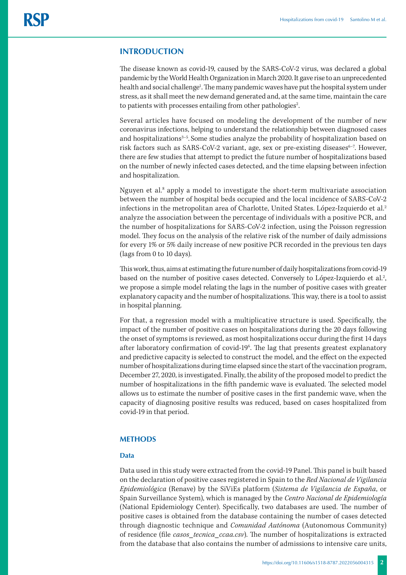# **INTRODUCTION**

The disease known as covid-19, caused by the SARS-CoV-2 virus, was declared a global pandemic by the World Health Organization in March 2020. It gave rise to an unprecedented health and social challenge<sup>1</sup>. The many pandemic waves have put the hospital system under stress, as it shall meet the new demand generated and, at the same time, maintain the care to patients with processes entailing from other pathologies<sup>2</sup>. .

Several articles have focused on modeling the development of the number of new coronavirus infections, helping to understand the relationship between diagnosed cases and hospitalizations<sup>3-5</sup>. Some studies analyze the probability of hospitalization based on risk factors such as SARS-CoV-2 variant, age, sex or pre-existing diseases<sup>6-7</sup>. However, there are few studies that attempt to predict the future number of hospitalizations based on the number of newly infected cases detected, and the time elapsing between infection and hospitalization.

Nguyen et al.<sup>8</sup> apply a model to investigate the short-term multivariate association between the number of hospital beds occupied and the local incidence of SARS-CoV-2 infections in the metropolitan area of Charlotte, United States. López-Izquierdo et al.2 analyze the association between the percentage of individuals with a positive PCR, and the number of hospitalizations for SARS-CoV-2 infection, using the Poisson regression model. They focus on the analysis of the relative risk of the number of daily admissions for every 1% or 5% daily increase of new positive PCR recorded in the previous ten days (lags from 0 to 10 days).

This work, thus, aims at estimating the future number of daily hospitalizations from covid-19 based on the number of positive cases detected. Conversely to López-Izquierdo et al.<sup>2</sup>, we propose a simple model relating the lags in the number of positive cases with greater explanatory capacity and the number of hospitalizations. This way, there is a tool to assist in hospital planning.

For that, a regression model with a multiplicative structure is used. Specifically, the impact of the number of positive cases on hospitalizations during the 20 days following the onset of symptoms is reviewed, as most hospitalizations occur during the first 14 days after laboratory confirmation of covid-19<sup>6</sup>. The lag that presents greatest explanatory and predictive capacity is selected to construct the model, and the effect on the expected number of hospitalizations during time elapsed since the start of the vaccination program, December 27, 2020, is investigated. Finally, the ability of the proposed model to predict the number of hospitalizations in the fifth pandemic wave is evaluated. The selected model allows us to estimate the number of positive cases in the first pandemic wave, when the capacity of diagnosing positive results was reduced, based on cases hospitalized from covid-19 in that period.

# **METHODS**

#### **Data**

Data used in this study were extracted from the covid-19 Panel. This panel is built based on the declaration of positive cases registered in Spain to the *Red Nacional de Vigilancia Epidemiológica* (Renave) by the SiViEs platform (*Sistema de Vigilancia de España*, or Spain Surveillance System), which is managed by the *Centro Nacional de Epidemiología*  (National Epidemiology Center). Specifically, two databases are used. The number of positive cases is obtained from the database containing the number of cases detected through diagnostic technique and *Comunidad Autónoma* (Autonomous Community) of residence (file *casos\_tecnica\_ccaa.csv*). The number of hospitalizations is extracted from the database that also contains the number of admissions to intensive care units,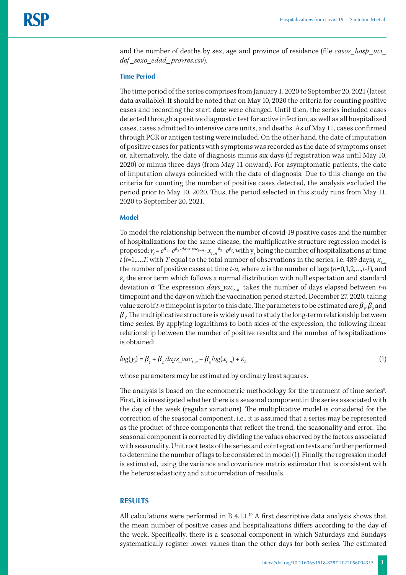and the number of deaths by sex, age and province of residence (file *casos\_hosp\_uci\_ def \_sexo\_edad\_ provres.csv*).

#### **Time Period**

The time period of the series comprises from January 1, 2020 to September 20, 2021 (latest data available). It should be noted that on May 10, 2020 the criteria for counting positive cases and recording the start date were changed. Until then, the series included cases detected through a positive diagnostic test for active infection, as well as all hospitalized cases, cases admitted to intensive care units, and deaths. As of May 11, cases confirmed through PCR or antigen testing were included. On the other hand, the date of imputation of positive cases for patients with symptoms was recorded as the date of symptoms onset or, alternatively, the date of diagnosis minus six days (if registration was until May 10, 2020) or minus three days (from May 11 onward). For asymptomatic patients, the date of imputation always coincided with the date of diagnosis. Due to this change on the criteria for counting the number of positive cases detected, the analysis excluded the period prior to May 10, 2020. Thus, the period selected in this study runs from May 11, 2020 to September 20, 2021.

#### **Model**

To model the relationship between the number of covid-19 positive cases and the number of hospitalizations for the same disease, the multiplicative structure regression model is proposed:  $y_t = e^{\beta_1} \cdot e^{\beta_2 \cdot days\_vac_{t-n}} \cdot x_{t-n}^{-\beta_3} \cdot e^{\beta_t}$ , with  $y_t$  being the number of hospitalizations at time  $t(t=1,...,T$ , with *T* equal to the total number of observations in the series, i.e. 489 days),  $x_t$ <sub>n</sub> the number of positive cases at time *t*-*n*, where *n* is the number of lags (*n*=0,1,2,…,*t-1*), and  $\varepsilon_t$  the error term which follows a normal distribution with null expectation and standard deviation *σ.* The expression *days*\_*vac<sup>t</sup>*–*<sup>n</sup>*takes the number of days elapsed between *t-n* timepoint and the day on which the vaccination period started, December 27, 2020, taking value zero if *t-n* timepoint is prior to this date. The parameters to be estimated are  $\beta_1$ ,  $\beta_2$  and  $\beta_{_3}$ . The multiplicative structure is widely used to study the long-term relationship between time series. By applying logarithms to both sides of the expression, the following linear relationship between the number of positive results and the number of hospitalizations is obtained:

$$
log(y_t) = \beta_1 + \beta_2 \, days\_vac_{t-n} + \beta_3 \, log(x_{t-n}) + \varepsilon_t \tag{1}
$$

whose parameters may be estimated by ordinary least squares.

The analysis is based on the econometric methodology for the treatment of time series<sup>9</sup>. First, it is investigated whether there is a seasonal component in the series associated with the day of the week (regular variations). The multiplicative model is considered for the correction of the seasonal component, i.e., it is assumed that a series may be represented as the product of three components that reflect the trend, the seasonality and error. The seasonal component is corrected by dividing the values observed by the factors associated with seasonality. Unit root tests of the series and cointegration tests are further performed to determine the number of lags to be considered in model (1). Finally, the regression model is estimated, using the variance and covariance matrix estimator that is consistent with the heteroscedasticity and autocorrelation of residuals.

#### **RESULTS**

All calculations were performed in R 4.1.1.<sup>10</sup> A first descriptive data analysis shows that the mean number of positive cases and hospitalizations differs according to the day of the week. Specifically, there is a seasonal component in which Saturdays and Sundays systematically register lower values than the other days for both series. The estimated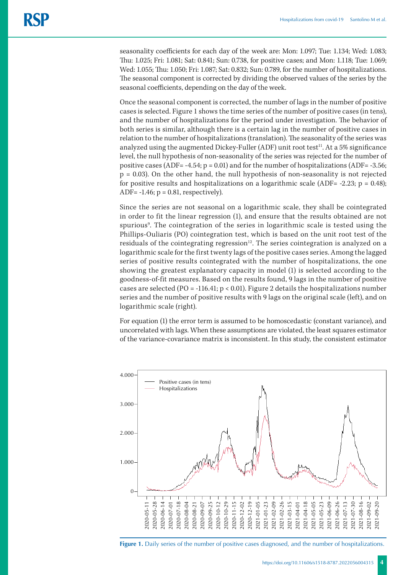seasonality coefficients for each day of the week are: Mon: 1.097; Tue: 1.134; Wed: 1.083; Thu: 1.025; Fri: 1.081; Sat: 0.841; Sun: 0.738, for positive cases; and Mon: 1.118; Tue: 1.069; Wed: 1.055; Thu: 1.050; Fri: 1.087; Sat: 0.832; Sun: 0.789, for the number of hospitalizations. The seasonal component is corrected by dividing the observed values of the series by the seasonal coefficients, depending on the day of the week.

Once the seasonal component is corrected, the number of lags in the number of positive cases is selected. Figure 1 shows the time series of the number of positive cases (in tens), and the number of hospitalizations for the period under investigation. The behavior of both series is similar, although there is a certain lag in the number of positive cases in relation to the number of hospitalizations (translation). The seasonality of the series was analyzed using the augmented Dickey-Fuller (ADF) unit root test<sup>11</sup>. At a 5% significance level, the null hypothesis of non-seasonality of the series was rejected for the number of positive cases (ADF= -4.54;  $p = 0.01$ ) and for the number of hospitalizations (ADF= -3.56; p = 0.03). On the other hand, the null hypothesis of non-seasonality is not rejected for positive results and hospitalizations on a logarithmic scale (ADF= -2.23;  $p = 0.48$ ); ADF= $-1.46$ ;  $p = 0.81$ , respectively).

Since the series are not seasonal on a logarithmic scale, they shall be cointegrated in order to fit the linear regression (1), and ensure that the results obtained are not spurious9 . The cointegration of the series in logarithmic scale is tested using the Phillips-Ouliaris (PO) cointegration test, which is based on the unit root test of the residuals of the cointegrating regression $12$ . The series cointegration is analyzed on a logarithmic scale for the first twenty lags of the positive cases series. Among the lagged series of positive results cointegrated with the number of hospitalizations, the one showing the greatest explanatory capacity in model (1) is selected according to the goodness-of-fit measures. Based on the results found, 9 lags in the number of positive cases are selected (PO = -116.41; p < 0.01). Figure 2 details the hospitalizations number series and the number of positive results with 9 lags on the original scale (left), and on logarithmic scale (right).

For equation (1) the error term is assumed to be homoscedastic (constant variance), and uncorrelated with lags. When these assumptions are violated, the least squares estimator of the variance-covariance matrix is inconsistent. In this study, the consistent estimator



**Figure 1.** Daily series of the number of positive cases diagnosed, and the number of hospitalizations.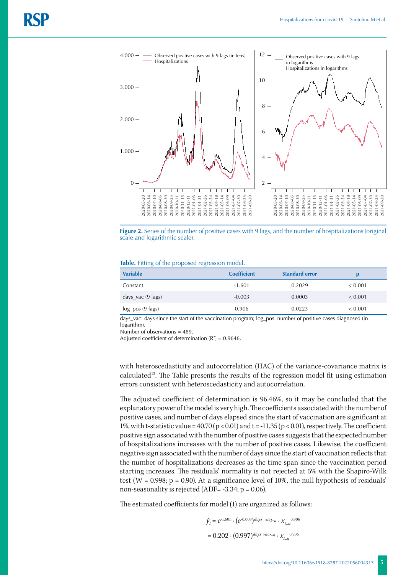

**Figure 2.** Series of the number of positive cases with 9 lags, and the number of hospitalizations (original scale and logarithmic scale).

#### **Table.** Fitting of the proposed regression model.

| <b>Variable</b>             | <b>Coefficient</b> | <b>Standard error</b> |         |
|-----------------------------|--------------------|-----------------------|---------|
| Constant                    | $-1.601$           | 0.2029                | < 0.001 |
| days_vac $(9 \text{ lags})$ | $-0.003$           | 0.0003                | < 0.001 |
| $log_{10}(9 \text{ lags})$  | 0.906              | 0.0223                | < 0.001 |

days\_vac: days since the start of the vaccination program; log\_pos: number of positive cases diagnosed (in logarithm).

Number of observations = 489.

Adjusted coefficient of determination  $(R^2) = 0.9646$ .

with heteroscedasticity and autocorrelation (HAC) of the variance-covariance matrix is calculated13. The Table presents the results of the regression model fit using estimation errors consistent with heteroscedasticity and autocorrelation.

The adjusted coefficient of determination is 96.46%, so it may be concluded that the explanatory power of the model is very high. The coefficients associated with the number of positive cases, and number of days elapsed since the start of vaccination are significant at 1%, with t-statistic value =  $40.70$  (p < 0.01) and t = -11.35 (p < 0.01), respectively. The coefficient positive sign associated with the number of positive cases suggests that the expected number of hospitalizations increases with the number of positive cases. Likewise, the coefficient negative sign associated with the number of days since the start of vaccination reflects that the number of hospitalizations decreases as the time span since the vaccination period starting increases. The residuals' normality is not rejected at 5% with the Shapiro-Wilk test (W = 0.998;  $p = 0.90$ ). At a significance level of 10%, the null hypothesis of residuals' non-seasonality is rejected (ADF= $-3.34$ ; p = 0.06).

The estimated coefficients for model (1) are organized as follows:

$$
\hat{y}_t = e^{-1.601} \cdot (e^{-0.003})^{days\_vac_{t-n}} \cdot x_{t-n}^{0.906}
$$
\n
$$
= 0.202 \cdot (0.997)^{days\_vac_{t-n}} \cdot x_{t-n}^{0.906}
$$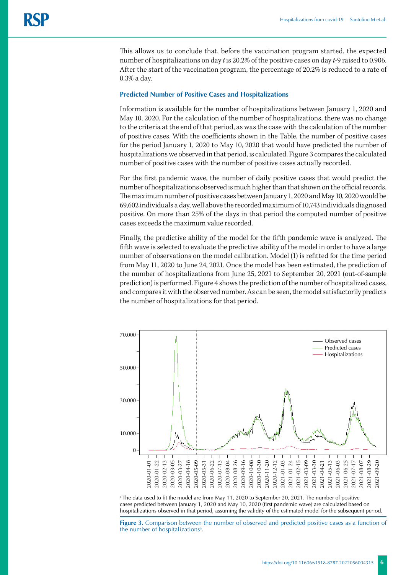This allows us to conclude that, before the vaccination program started, the expected number of hospitalizations on day *t* is 20.2% of the positive cases on day *t*-9 raised to 0.906. After the start of the vaccination program, the percentage of 20.2% is reduced to a rate of 0.3% a day.

### **Predicted Number of Positive Cases and Hospitalizations**

Information is available for the number of hospitalizations between January 1, 2020 and May 10, 2020. For the calculation of the number of hospitalizations, there was no change to the criteria at the end of that period, as was the case with the calculation of the number of positive cases. With the coefficients shown in the Table, the number of positive cases for the period January 1, 2020 to May 10, 2020 that would have predicted the number of hospitalizations we observed in that period, is calculated. Figure 3 compares the calculated number of positive cases with the number of positive cases actually recorded.

For the first pandemic wave, the number of daily positive cases that would predict the number of hospitalizations observed is much higher than that shown on the official records. The maximum number of positive cases between January 1, 2020 and May 10, 2020 would be 69,602 individuals a day, well above the recorded maximum of 10,743 individuals diagnosed positive. On more than 25% of the days in that period the computed number of positive cases exceeds the maximum value recorded.

Finally, the predictive ability of the model for the fifth pandemic wave is analyzed. The fifth wave is selected to evaluate the predictive ability of the model in order to have a large number of observations on the model calibration. Model (1) is refitted for the time period from May 11, 2020 to June 24, 2021. Once the model has been estimated, the prediction of the number of hospitalizations from June 25, 2021 to September 20, 2021 (out-of-sample prediction) is performed. Figure 4 shows the prediction of the number of hospitalized cases, and compares it with the observed number. As can be seen, the model satisfactorily predicts the number of hospitalizations for that period.



a The data used to fit the model are from May 11, 2020 to September 20, 2021. The number of positive cases predicted between January 1, 2020 and May 10, 2020 (first pandemic wave) are calculated based on hospitalizations observed in that period, assuming the validity of the estimated model for the subsequent period.

**Figure 3.** Comparison between the number of observed and predicted positive cases as a function of the number of hospitalizations<sup>a</sup>.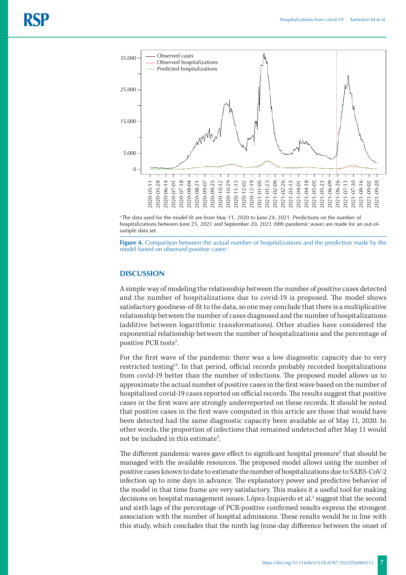

<sup>a</sup> The data used for the model fit are from May 11, 2020 to June 24, 2021. Predictions on the number of hospitalizations between June 25, 2021 and September 20, 2021 (fifth pandemic wave) are made for an out-ofsample data set.

**Figure 4.** Comparison between the actual number of hospitalizations and the prediction made by the model based on observed positive cases<sup>a</sup>.

# **DISCUSSION**

A simple way of modeling the relationship between the number of positive cases detected and the number of hospitalizations due to covid-19 is proposed. The model shows satisfactory goodness-of-fit to the data, so one may conclude that there is a multiplicative relationship between the number of cases diagnosed and the number of hospitalizations (additive between logarithmic transformations). Other studies have considered the exponential relationship between the number of hospitalizations and the percentage of positive PCR tests<sup>2</sup>.

For the first wave of the pandemic there was a low diagnostic capacity due to very restricted testing $14$ . In that period, official records probably recorded hospitalizations from covid-19 better than the number of infections. The proposed model allows us to approximate the actual number of positive cases in the first wave based on the number of hospitalized covid-19 cases reported on official records. The results suggest that positive cases in the first wave are strongly underreported on these records. It should be noted that positive cases in the first wave computed in this article are those that would have been detected had the same diagnostic capacity been available as of May 11, 2020. In other words, the proportion of infections that remained undetected after May 11 would not be included in this estimate<sup>3</sup>. .

The different pandemic waves gave effect to significant hospital pressure<sup>5</sup> that should be managed with the available resources. The proposed model allows using the number of positive cases known to date to estimate the number of hospitalizations due to SARS-CoV-2 infection up to nine days in advance. The explanatory power and predictive behavior of the model in that time frame are very satisfactory. This makes it a useful tool for making decisions on hospital management issues. López-Izquierdo et al.<sup>2</sup> suggest that the second and sixth lags of the percentage of PCR-positive confirmed results express the strongest association with the number of hospital admissions. These results would be in line with this study, which concludes that the ninth lag (nine-day difference between the onset of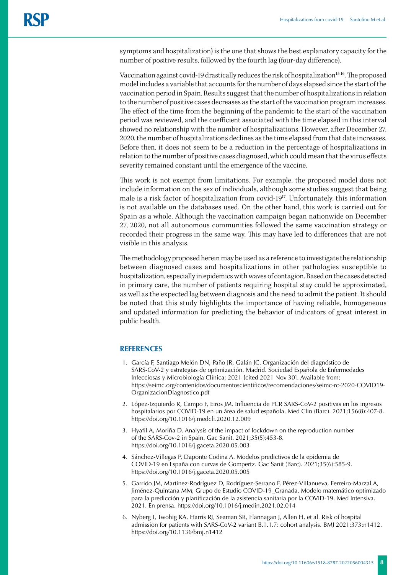symptoms and hospitalization) is the one that shows the best explanatory capacity for the number of positive results, followed by the fourth lag (four-day difference).

Vaccination against covid-19 drastically reduces the risk of hospitalization<sup>15,16</sup>. The proposed model includes a variable that accounts for the number of days elapsed since the start of the vaccination period in Spain. Results suggest that the number of hospitalizations in relation to the number of positive cases decreases as the start of the vaccination program increases. The effect of the time from the beginning of the pandemic to the start of the vaccination period was reviewed, and the coefficient associated with the time elapsed in this interval showed no relationship with the number of hospitalizations. However, after December 27, 2020, the number of hospitalizations declines as the time elapsed from that date increases. Before then, it does not seem to be a reduction in the percentage of hospitalizations in relation to the number of positive cases diagnosed, which could mean that the virus effects severity remained constant until the emergence of the vaccine.

This work is not exempt from limitations. For example, the proposed model does not include information on the sex of individuals, although some studies suggest that being male is a risk factor of hospitalization from covid-1917. Unfortunately, this information is not available on the databases used. On the other hand, this work is carried out for Spain as a whole. Although the vaccination campaign began nationwide on December 27, 2020, not all autonomous communities followed the same vaccination strategy or recorded their progress in the same way. This may have led to differences that are not visible in this analysis.

The methodology proposed herein may be used as a reference to investigate the relationship between diagnosed cases and hospitalizations in other pathologies susceptible to hospitalization, especially in epidemics with waves of contagion. Based on the cases detected in primary care, the number of patients requiring hospital stay could be approximated, as well as the expected lag between diagnosis and the need to admit the patient. It should be noted that this study highlights the importance of having reliable, homogeneous and updated information for predicting the behavior of indicators of great interest in public health.

# **REFERENCES**

- 1. García F, Santiago Melón DN, Paño JR, Galán JC. Organización del diagnóstico de SARS-CoV-2 y estrategias de optimización. Madrid. Sociedad Española de Enfermedades Infecciosas y Microbiología Clínica; 2021 [cited 2021 Nov 30]. Available from: [https://seimc.org/contenidos/documentoscientificos/recomendaciones/seimc-rc-2020-COVID19-](https://seimc.org/contenidos/documentoscientificos/recomendaciones/seimc-rc-2020-COVID19-OrganizacionDiagnostico.pdf) [OrganizacionDiagnostico.pdf](https://seimc.org/contenidos/documentoscientificos/recomendaciones/seimc-rc-2020-COVID19-OrganizacionDiagnostico.pdf)
- 2. López-Izquierdo R, Campo F, Eiros JM. Influencia de PCR SARS-CoV-2 positivas en los ingresos hospitalarios por COVID-19 en un área de salud española. Med Clin (Barc). 2021;156(8):407-8. https://doi.org/10.1016/j.medcli.2020.12.009
- 3. Hyafil A, Moriña D. Analysis of the impact of lockdown on the reproduction number of the SARS-Cov-2 in Spain. Gac Sanit. 2021;35(5);453-8. https://doi.org/10.1016/j.gaceta.2020.05.003
- 4. Sánchez-Villegas P, Daponte Codina A. Modelos predictivos de la epidemia de COVID-19 en España con curvas de Gompertz. Gac Sanit (Barc). 2021;35(6):585-9. https://doi.org/10.1016/j.gaceta.2020.05.005
- 5. Garrido JM, Martínez-Rodríguez D, Rodríguez-Serrano F, Pérez-Villanueva, Ferreiro-Marzal A, Jiménez-Quintana MM; Grupo de Estudio COVID-19\_Granada. Modelo matemático optimizado para la predicción y planificación de la asistencia sanitaria por la COVID-19. Med Intensiva. 2021. En prensa. https://doi.org/10.1016/j.medin.2021.02.014
- 6. Nyberg T, Twohig KA, Harris RJ, Seaman SR, Flannagan J, Allen H, et al. Risk of hospital admission for patients with SARS-CoV-2 variant B.1.1.7: cohort analysis. BMJ 2021;373:n1412. https://doi.org/10.1136/bmj.n1412